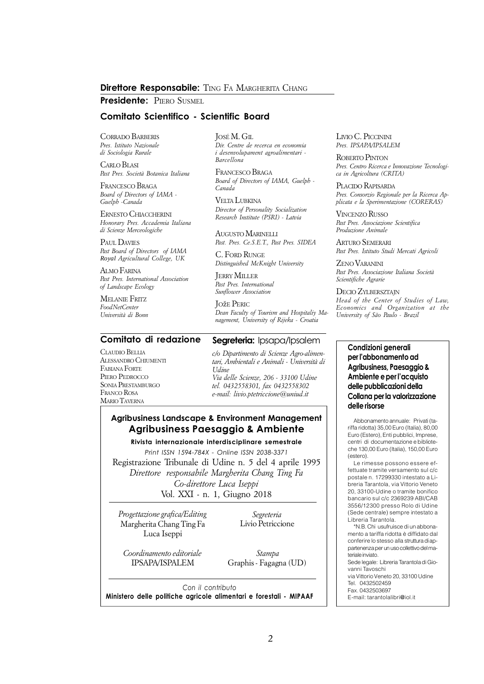#### **Direttore Responsabile:** *TING FA MARGHERITA CHANG*

**Presidente:** *PIERO SUSMEL*

#### **Comitato Scientifico - Scientific Board**

*CORRADO BARBERIS Pres. Istituto Nazionale di Sociologia Rurale*

*CARLO BLASI Past Pres. Società Botanica Italiana*

*FRANCESCO BRAGA Board of Directors of IAMA - Guelph -Canada*

*ERNESTO CHIACCHERINI Honorary Pres. Accademia Italiana di Scienze Merceologiche*

*PAUL DAVIES Past Board of Directors of IAMA Royal Agricultural College, UK*

*ALMO FARINA Past Pres. International Association of Landscape Ecology*

*MELANIE FRITZ FoodNetCenter Università di Bonn*

**Comitato di redazione**

*CLAUDIO BELLIA ALESSANDRO CHIUMENTI FABIANA FORTE PIERO PEDROCCO SONIA PRESTAMBURGO FRANCO ROSA MARIO TAVERNA*

*JOSÉ M. GIL Dir. Centre de recerca en economia i desenvolupament agroalimentari - Barcellona*

*FRANCESCO BRAGA Board of Directors of IAMA, Guelph - Canada*

*VELTA LUBKINA Director of Personality Socialization Research Institute (PSRI) - Latvia*

*AUGUSTO MARINELLI Past. Pres. Ce.S.E.T., Past Pres. SIDEA*

*C. FORD RUNGE Distinguished McKnight University*

*JERRY MILLER Past Pres. International Sunflower Association*

*JOžE PERIC Dean Faculty of Tourism and Hospitaliy Management, University of Rijeka - Croatia*

#### **Seareteria:** Ipsapa/Ipsalem

*c/o Dipartimento di Scienze Agro-alimentari, Ambientali e Animali - Università di Udine Via delle Scienze, 206 - 33100 Udine tel. 0432558301, fax 0432558302 e-mail: [livio.ptetriccione@uniud.it](mailto:livio.ptetriccione@uniud.it)*

## **Agribusiness Landscape & Environment Management Agribusiness Paesaggio & Ambiente**

**Rivista internazionale interdisciplinare semestrale** *Print ISSN 1594-784X - Online ISSN 2038-3371 Registrazione Tribunale di Udine n. 5 del 4 aprile 1995 Direttore responsabile Margherita Chang Ting Fa Co-direttore Luca Iseppi Vol. XXI - n. 1, Giugno 2018*

*Progettazione grafica/Editing Margherita Chang Ting Fa Luca Iseppi*

*Segreteria Livio Petriccione*

*Coordinamento editoriale IPSAPA/ISPALEM*

 *Stampa Graphis - Fagagna (UD)*

*Con il contributo* **Ministero delle politiche agricole alimentari e forestali - MIPAAF** *LIVIO C. PICCININI Pres. IPSAPA/IPSALEM*

*ROBERTO PINTON Pres. Centro Ricerca e Innovazione Tecnologica in Agricoltura (CRITA)*

*PLACIDO RAPISARDA Pres. Consorzio Regionale per la Ricerca Applicata e la Sperimentazione (CORERAS)*

*VINCENZO RUSSO Past Pres. Associazione Scientifica Produzione Animale*

*ARTURO SEMERARI Past Pres. Istituto Studi Mercati Agricoli*

*ZENO VARANINI Past Pres. Associazione Italiana Società Scientifiche Agrarie*

*DECIO ZYLBERSZTAJN Head of the Center of Studies of Law, Economics and Organization at the University of São Paulo - Brazil*

#### **Condizioni generali per l'abbonamento ad Agribusiness, Paesaggio & Ambiente e per l'acquisto delle pubblicazioni della Collana per la valorizzazione delle risorse**

Abbonamento annuale: Privati (tariffa ridotta) 35,00 Euro (Italia), 80,00 Euro (Estero), Enti pubblici, Imprese, centri di documentazione e biblioteche 130,00 Euro (Italia), 150,00 Euro (estero).

Le rimesse possono essere effettuate tramite versamento sul c/c postale n. 17299330 intestato a Libreria Tarantola, via Vittorio Veneto 20, 33100-Udine o tramite bonifico bancario sul c/c 2369239 ABI/CAB 3556/12300 presso Rolo di Udine (Sede centrale) sempre intestato a Libreria Tarantola.

\*N.B. Chi usufruisce di un abbonamento a tariffa ridotta è diffidato dal conferire lo stesso alla struttura di appartenenza per un uso collettivo del materiale inviato.

Sede legale: Libreria Tarantola di Giovanni Tavoschi via Vittorio Veneto 20, 33100 Udine

Tel. 0432502459

Fax. 0432503697

E-mail: [tarantolalibri@iol.it](mailto:tarantolalibri@iol.it)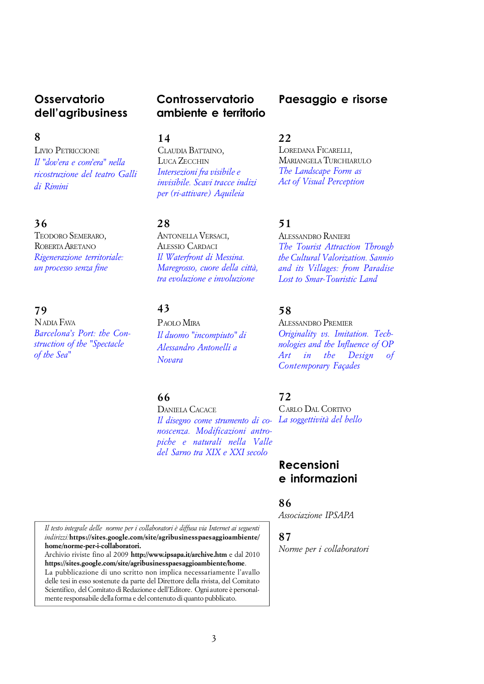# **Osservatorio dell'agribusiness**

#### *8*

*LIVIO PETRICCIONE Il "dov'era e com'era" nella [ricostruzione del teatro Galli](https://docs.google.com/viewer?a=v&pid=sites&srcid=ZGVmYXVsdGRvbWFpbnxhZ3JpYnVzaW5lc3NwYWVzYWdnaW9hbWJpZW50ZXxneDozYTZkNjdhOTRkNTcxMDM5)  di Rimini*

## *36*

*TEODORO SEMERARO, ROBERTA ARETANO [Rigenerazione territoriale:](https://docs.google.com/viewer?a=v&pid=sites&srcid=ZGVmYXVsdGRvbWFpbnxhZ3JpYnVzaW5lc3NwYWVzYWdnaW9hbWJpZW50ZXxneDo0MjhiNDM2ZTY3ZDVlMzVk) un processo senza fine*

#### *79*

*NADIA FAVA [Barcelona's Port: the Con](https://docs.google.com/viewer?a=v&pid=sites&srcid=ZGVmYXVsdGRvbWFpbnxhZ3JpYnVzaW5lc3NwYWVzYWdnaW9hbWJpZW50ZXxneDo2NTFiMmFiM2VlMDZjMmEz)struction of the "Spectacle of the Sea"*

# **Controsservatorio ambiente e territorio**

*14*

*CLAUDIA BATTAINO, LUCA ZECCHIN Intersezioni fra visibile e [invisibile. Scavi tracce indizi](https://docs.google.com/viewer?a=v&pid=sites&srcid=ZGVmYXVsdGRvbWFpbnxhZ3JpYnVzaW5lc3NwYWVzYWdnaW9hbWJpZW50ZXxneDpiNDAzZjNkMTA2M2Y5MDM)  per (ri-attivare) Aquileia*

## *28*

*ANTONELLA VERSACI, ALESSIO CARDACI Il Waterfront di Messina. [Maregrosso, cuore della città,](https://docs.google.com/viewer?a=v&pid=sites&srcid=ZGVmYXVsdGRvbWFpbnxhZ3JpYnVzaW5lc3NwYWVzYWdnaW9hbWJpZW50ZXxneDozNDI3NDU4MTQyYjdhYjU1) tra evoluzione e involuzione*

# *43*

*PAOLO MIRA [Il duomo "incompiuto" di](https://docs.google.com/viewer?a=v&pid=sites&srcid=ZGVmYXVsdGRvbWFpbnxhZ3JpYnVzaW5lc3NwYWVzYWdnaW9hbWJpZW50ZXxneDozMjU5MWM0ZGZkM2ZjZWU1) Alessandro Antonelli a Novara*

## *66*

*DANIELA CACACE [Il disegno come strumento di co-](https://docs.google.com/viewer?a=v&pid=sites&srcid=ZGVmYXVsdGRvbWFpbnxhZ3JpYnVzaW5lc3NwYWVzYWdnaW9hbWJpZW50ZXxneDoyOGFhZjMwMWYyYzVjYzRm)[La soggettività del bello](https://docs.google.com/viewer?a=v&pid=sites&srcid=ZGVmYXVsdGRvbWFpbnxhZ3JpYnVzaW5lc3NwYWVzYWdnaW9hbWJpZW50ZXxneDoxNjQ5YjhjYjBhN2NlN2Yx) noscenza. Modificazioni antropiche e naturali nella Valle del Sarno tra XIX e XXI secolo*

**Paesaggio e risorse**

# *22*

*LOREDANA FICARELLI, MARIANGELA TURCHIARULO The L[andscape](https://docs.google.com/viewer?a=v&pid=sites&srcid=ZGVmYXVsdGRvbWFpbnxhZ3JpYnVzaW5lc3NwYWVzYWdnaW9hbWJpZW50ZXxneDozYTJiNDc4ZGUwNDMxMWU1) Form as Act of Visual Perception*

## *51*

*ALESSANDRO RANIERI*

*The Tourist Attraction Through the Cultural Valorization. Sannio [and its Villages: from Paradise](https://docs.google.com/viewer?a=v&pid=sites&srcid=ZGVmYXVsdGRvbWFpbnxhZ3JpYnVzaW5lc3NwYWVzYWdnaW9hbWJpZW50ZXxneDo1ZWU0YTIyYWVlZTEyZWIy) Lost to Smar-Touristic Land*

## *58*

#### *ALESSANDRO PREMIER*

*[Originality vs. Imitation. Tech](https://docs.google.com/viewer?a=v&pid=sites&srcid=ZGVmYXVsdGRvbWFpbnxhZ3JpYnVzaW5lc3NwYWVzYWdnaW9hbWJpZW50ZXxneDpkMmUxNzg2YjlkYzM1ZDM)nologies and the Influence of OP Art in the Design of Contemporary Façades*

#### *72*

*CARLO DAL CORTIVO*

# **Recensioni e informazioni**

#### *86*

*Associazione IPSAPA*

## *87*

*Norme per i collaboratori*

*Il testo integrale delle norme per i collaboratori è diffusa via Internet ai seguenti indirizzi:<https://sites.google.com/site/agribusinesspaesaggioambiente/> home/norme-per-i-collaboratori.*

*Archivio riviste fino al 2009 <http://www.ipsapa.it/archive.htm> e dal 2010 <https://sites.google.com/site/agribusinesspaesaggioambiente/home>. La pubblicazione di uno scritto non implica necessariamente l'avallo delle tesi in esso sostenute da parte del Direttore della rivista, del Comitato Scientifico, del Comitato di Redazione e dell'Editore. Ogni autore è personalmente responsabile della forma e del contenuto di quanto pubblicato.*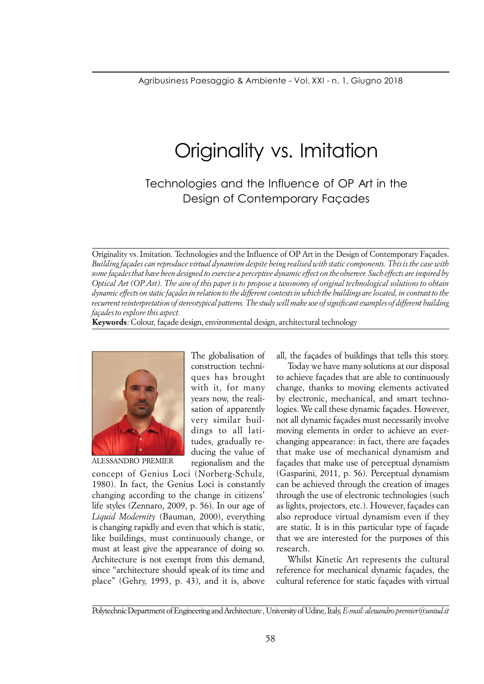# Originality vs. Imitation

Technologies and the Influence of OP Art in the Design of Contemporary Façades

*Originality vs. Imitation. Technologies and the Influence of OP Art in the Design of Contemporary Façades. Building façades can reproduce virtual dynamism despite being realised with static components. This is the case with some façades that have been designed to exercise a perceptive dynamic effect on the observer. Such effects are inspired by Optical Art (OP Art). The aim of this paper is to propose a taxonomy of original technological solutions to obtain dynamic effects on static façades in relation to the different contexts in which the buildings are located, in contrast to the recurrent reinterpretation of stereotypical patterns. The study will make use of significant examples of different building façades to explore this aspect.*

*Keywords: Colour, façade design, environmental design, architectural technology*

*The globalisation of construction techniques has brought with it, for many years now, the realisation of apparently very similar buildings to all latitudes, gradually reducing the value of*



*Paesaggio e risorse*

*ALESSANDRO PREMIER*

*regionalism and the concept of Genius Loci (Norberg-Schulz, 1980). In fact, the Genius Loci is constantly changing according to the change in citizens' life styles (Zennaro, 2009, p. 56). In our age of Liquid Modernity (Bauman, 2000), everything is changing rapidly and even that which is static, like buildings, must continuously change, or must at least give the appearance of doing so. Architecture is not exempt from this demand, since "architecture should speak of its time and place" (Gehry, 1993, p. 43), and it is, above* *all, the façades of buildings that tells this story.*

*ALESSANDRO PREMIER*

*Today we have many solutions at our disposal to achieve façades that are able to continuously change, thanks to moving elements activated by electronic, mechanical, and smart technologies. We call these dynamic façades. However, not all dynamic façades must necessarily involve moving elements in order to achieve an everchanging appearance: in fact, there are façades that make use of mechanical dynamism and façades that make use of perceptual dynamism (Gasparini, 2011, p. 56). Perceptual dynamism can be achieved through the creation of images through the use of electronic technologies (such as lights, projectors, etc.). However, façades can also reproduce virtual dynamism even if they are static. It is in this particular type of façade that we are interested for the purposes of this research.*

*Whilst Kinetic Art represents the cultural reference for mechanical dynamic façades, the cultural reference for static façades with virtual*

*Polytechnic Department of Engineering and Architecture , University of Udine, Italy,E-mail: [alessandro.premier@uniud.it](mailto:alessandro.premier@uniud.it)*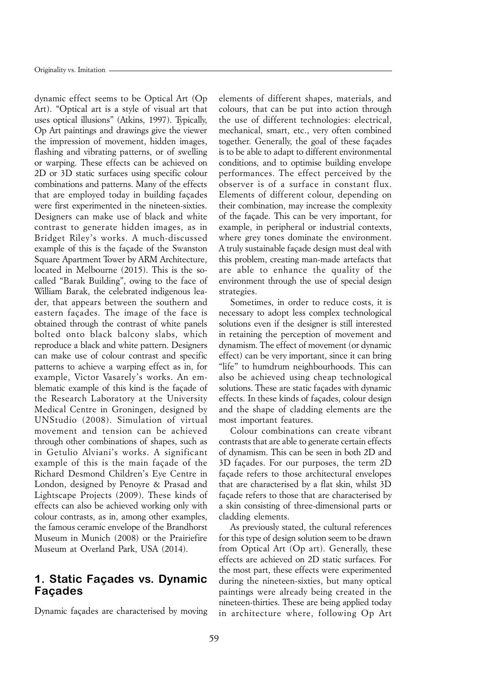*dynamic effect seems to be Optical Art (Op Art). "Optical art is a style of visual art that uses optical illusions" (Atkins, 1997). Typically, Op Art paintings and drawings give the viewer the impression of movement, hidden images, flashing and vibrating patterns, or of swelling or warping. These effects can be achieved on 2D or 3D static surfaces using specific colour combinations and patterns. Many of the effects that are employed today in building façades were first experimented in the nineteen-sixties. Designers can make use of black and white contrast to generate hidden images, as in Bridget Riley's works. A much-discussed example of this is the façade of the Swanston Square Apartment Tower by ARM Architecture, located in Melbourne (2015). This is the socalled "Barak Building", owing to the face of William Barak, the celebrated indigenous leader, that appears between the southern and eastern façades. The image of the face is obtained through the contrast of white panels bolted onto black balcony slabs, which reproduce a black and white pattern. Designers can make use of colour contrast and specific patterns to achieve a warping effect as in, for example, Victor Vasarely's works. An emblematic example of this kind is the façade of the Research Laboratory at the University Medical Centre in Groningen, designed by UNStudio (2008). Simulation of virtual movement and tension can be achieved through other combinations of shapes, such as in Getulio Alviani's works. A significant example of this is the main façade of the Richard Desmond Children's Eye Centre in London, designed by Penoyre & Prasad and Lightscape Projects (2009). These kinds of effects can also be achieved working only with colour contrasts, as in, among other examples, the famous ceramic envelope of the Brandhorst Museum in Munich (2008) or the Prairiefire Museum at Overland Park, USA (2014).*

## **1. Static Façades vs. Dynamic Façades**

*Dynamic façades are characterised by moving*

*elements of different shapes, materials, and colours, that can be put into action through the use of different technologies: electrical, mechanical, smart, etc., very often combined together. Generally, the goal of these façades is to be able to adapt to different environmental conditions, and to optimise building envelope performances. The effect perceived by the observer is of a surface in constant flux. Elements of different colour, depending on their combination, may increase the complexity of the façade. This can be very important, for example, in peripheral or industrial contexts, where grey tones dominate the environment. A truly sustainable façade design must deal with this problem, creating man-made artefacts that are able to enhance the quality of the environment through the use of special design strategies.*

*Sometimes, in order to reduce costs, it is necessary to adopt less complex technological solutions even if the designer is still interested in retaining the perception of movement and dynamism. The effect of movement (or dynamic effect) can be very important, since it can bring "life" to humdrum neighbourhoods. This can also be achieved using cheap technological solutions. These are static façades with dynamic effects. In these kinds of façades, colour design and the shape of cladding elements are the most important features.*

*Colour combinations can create vibrant contrasts that are able to generate certain effects of dynamism. This can be seen in both 2D and 3D façades. For our purposes, the term 2D façade refers to those architectural envelopes that are characterised by a flat skin, whilst 3D façade refers to those that are characterised by a skin consisting of three-dimensional parts or cladding elements.*

*As previously stated, the cultural references for this type of design solution seem to be drawn from Optical Art (Op art). Generally, these effects are achieved on 2D static surfaces. For the most part, these effects were experimented during the nineteen-sixties, but many optical paintings were already being created in the nineteen-thirties. These are being applied today in architecture where, following Op Art*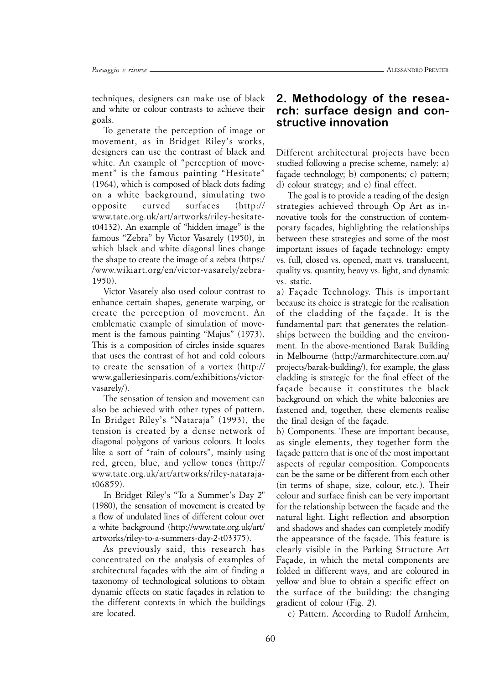*techniques, designers can make use of black and white or colour contrasts to achieve their goals.*

*To generate the perception of image or movement, as in Bridget Riley's works, designers can use the contrast of black and white. An example of "perception of movement" is the famous painting "Hesitate" (1964), which is composed of black dots fading on a white background, simulating two opposite curved surfaces (http:// [www.tate.org.uk/art/artworks/riley-hesitate](http://www.tate.org.uk/art/artworks/riley-hesitate-)t04132). An example of "hidden image" is the famous "Zebra" by Victor Vasarely (1950), in which black and white diagonal lines change the shape to create the image of a zebra (https:/ /www.wikiart.org/en/victor-vasarely/zebra-1950).*

*Victor Vasarely also used colour contrast to enhance certain shapes, generate warping, or create the perception of movement. An emblematic example of simulation of movement is the famous painting "Majus" (1973). This is a composition of circles inside squares that uses the contrast of hot and cold colours to create the sensation of a vortex (http:// [www.galleriesinparis.com/exhibitions/victor](http://www.galleriesinparis.com/exhibitions/victor-)vasarely/).*

*The sensation of tension and movement can also be achieved with other types of pattern. In Bridget Riley's "Nataraja" (1993), the tension is created by a dense network of diagonal polygons of various colours. It looks like a sort of "rain of colours", mainly using red, green, blue, and yellow tones (http:// [www.tate.org.uk/art/artworks/riley-nataraja](http://www.tate.org.uk/art/artworks/riley-nataraja-)t06859).*

*In Bridget Riley's "To a Summer's Day 2" (1980), the sensation of movement is created by a flow of undulated lines of different colour over a white background [\(http://www.tate.org.uk/art/](http://www.tate.org.uk/art/) artworks/riley-to-a-summers-day-2-t03375).*

*As previously said, this research has concentrated on the analysis of examples of architectural façades with the aim of finding a taxonomy of technological solutions to obtain dynamic effects on static façades in relation to the different contexts in which the buildings are located.*

## **2. Methodology of the research: surface design and constructive innovation**

*Different architectural projects have been studied following a precise scheme, namely: a) façade technology; b) components; c) pattern; d) colour strategy; and e) final effect.*

*The goal is to provide a reading of the design strategies achieved through Op Art as innovative tools for the construction of contemporary façades, highlighting the relationships between these strategies and some of the most important issues of façade technology: empty vs. full, closed vs. opened, matt vs. translucent, quality vs. quantity, heavy vs. light, and dynamic vs. static.*

*a) Façade Technology. This is important because its choice is strategic for the realisation of the cladding of the façade. It is the fundamental part that generates the relationships between the building and the environment. In the above-mentioned Barak Building in Melbourne [\(http://armarchitecture.com.au/](http://armarchitecture.com.au/) projects/barak-building/), for example, the glass cladding is strategic for the final effect of the façade because it constitutes the black background on which the white balconies are fastened and, together, these elements realise the final design of the façade.*

*b) Components. These are important because, as single elements, they together form the façade pattern that is one of the most important aspects of regular composition. Components can be the same or be different from each other (in terms of shape, size, colour, etc.). Their colour and surface finish can be very important for the relationship between the façade and the natural light. Light reflection and absorption and shadows and shades can completely modify the appearance of the façade. This feature is clearly visible in the Parking Structure Art Façade, in which the metal components are folded in different ways, and are coloured in yellow and blue to obtain a specific effect on the surface of the building: the changing gradient of colour (Fig. 2).*

*c) Pattern. According to Rudolf Arnheim,*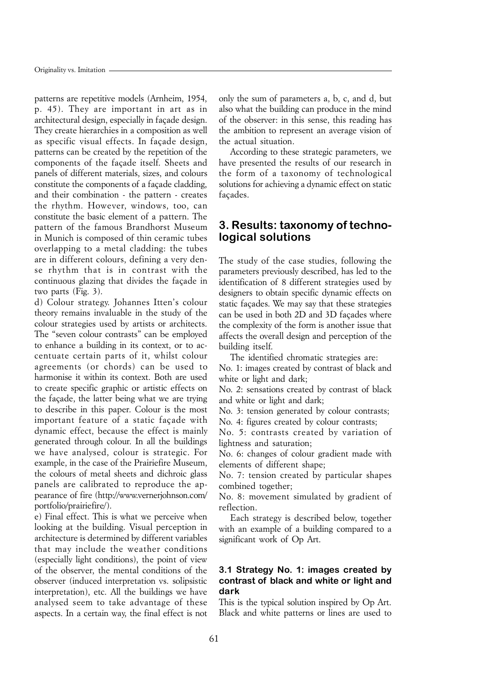*patterns are repetitive models (Arnheim, 1954, p. 45). They are important in art as in architectural design, especially in façade design. They create hierarchies in a composition as well as specific visual effects. In façade design, patterns can be created by the repetition of the components of the façade itself. Sheets and panels of different materials, sizes, and colours constitute the components of a façade cladding, and their combination - the pattern - creates the rhythm. However, windows, too, can constitute the basic element of a pattern. The pattern of the famous Brandhorst Museum in Munich is composed of thin ceramic tubes overlapping to a metal cladding: the tubes are in different colours, defining a very dense rhythm that is in contrast with the continuous glazing that divides the façade in two parts (Fig. 3).*

*d) Colour strategy. Johannes Itten's colour theory remains invaluable in the study of the colour strategies used by artists or architects. The "seven colour contrasts" can be employed to enhance a building in its context, or to accentuate certain parts of it, whilst colour agreements (or chords) can be used to harmonise it within its context. Both are used to create specific graphic or artistic effects on the façade, the latter being what we are trying to describe in this paper. Colour is the most important feature of a static façade with dynamic effect, because the effect is mainly generated through colour. In all the buildings we have analysed, colour is strategic. For example, in the case of the Prairiefire Museum, the colours of metal sheets and dichroic glass panels are calibrated to reproduce the appearance of fire [\(http://www.vernerjohnson.com/](http://www.vernerjohnson.com/) portfolio/prairiefire/).*

*e) Final effect. This is what we perceive when looking at the building. Visual perception in architecture is determined by different variables that may include the weather conditions (especially light conditions), the point of view of the observer, the mental conditions of the observer (induced interpretation vs. solipsistic interpretation), etc. All the buildings we have analysed seem to take advantage of these aspects. In a certain way, the final effect is not*

*only the sum of parameters a, b, c, and d, but also what the building can produce in the mind of the observer: in this sense, this reading has the ambition to represent an average vision of the actual situation.*

*According to these strategic parameters, we have presented the results of our research in the form of a taxonomy of technological solutions for achieving a dynamic effect on static façades.*

# **3. Results: taxonomy of technological solutions**

*The study of the case studies, following the parameters previously described, has led to the identification of 8 different strategies used by designers to obtain specific dynamic effects on static façades. We may say that these strategies can be used in both 2D and 3D façades where the complexity of the form is another issue that affects the overall design and perception of the building itself.*

*The identified chromatic strategies are:*

*No. 1: images created by contrast of black and white or light and dark;*

*No. 2: sensations created by contrast of black and white or light and dark;*

*No. 3: tension generated by colour contrasts; No. 4: figures created by colour contrasts;*

*No. 5: contrasts created by variation of lightness and saturation;*

*No. 6: changes of colour gradient made with elements of different shape;*

*No. 7: tension created by particular shapes combined together;*

*No. 8: movement simulated by gradient of reflection.*

*Each strategy is described below, together with an example of a building compared to a significant work of Op Art.*

#### **3.1 Strategy No. 1: images created by contrast of black and white or light and dark**

*This is the typical solution inspired by Op Art. Black and white patterns or lines are used to*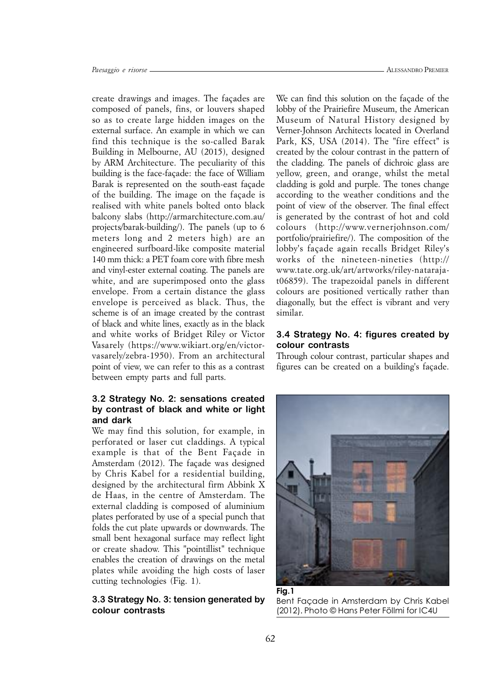*create drawings and images. The façades are composed of panels, fins, or louvers shaped so as to create large hidden images on the external surface. An example in which we can find this technique is the so-called Barak Building in Melbourne, AU (2015), designed by ARM Architecture. The peculiarity of this building is the face-façade: the face of William Barak is represented on the south-east façade of the building. The image on the façade is realised with white panels bolted onto black balcony slabs ([http://armarchitecture.com.au/](http://armarchitecture.com.au/is) projects/barak-building/). The panels (up to 6 meters long and 2 meters high) are an engineered surfboard-like composite material 140 mm thick: a PET foam core with fibre mesh and vinyl-ester external coating. The panels are white, and are superimposed onto the glass envelope. From a certain distance the glass envelope is perceived as black. Thus, the scheme is of an image created by the contrast of black and white lines, exactly as in the black and white works of Bridget Riley or Victor Vasarely ([https://www.wikiart.org/en/victor](https://www.wikiart.org/en/victor-)vasarely/zebra-1950). From an architectural point of view, we can refer to this as a contrast between empty parts and full parts.*

#### **3.2 Strategy No. 2: sensations created by contrast of black and white or light and dark**

*We may find this solution, for example, in perforated or laser cut claddings. A typical example is that of the Bent Façade in Amsterdam (2012). The façade was designed by Chris Kabel for a residential building, designed by the architectural firm Abbink X de Haas, in the centre of Amsterdam. The external cladding is composed of aluminium plates perforated by use of a special punch that folds the cut plate upwards or downwards. The small bent hexagonal surface may reflect light or create shadow. This "pointillist" technique enables the creation of drawings on the metal plates while avoiding the high costs of laser cutting technologies (Fig. 1).*

#### **3.3 Strategy No. 3: tension generated by colour contrasts**

*We can find this solution on the façade of the lobby of the Prairiefire Museum, the American Museum of Natural History designed by Verner-Johnson Architects located in Overland Park, KS, USA (2014). The "fire effect" is created by the colour contrast in the pattern of the cladding. The panels of dichroic glass are yellow, green, and orange, whilst the metal cladding is gold and purple. The tones change according to the weather conditions and the point of view of the observer. The final effect is generated by the contrast of hot and cold colours (<http://www.vernerjohnson.com/> portfolio/prairiefire/). The composition of the lobby's façade again recalls Bridget Riley's works of the nineteen-nineties (http:// www.tate.org.uk/art/artworks/riley-natarajat06859). The trapezoidal panels in different colours are positioned vertically rather than diagonally, but the effect is vibrant and very similar.*

#### **3.4 Strategy No. 4: figures created by colour contrasts**

*Through colour contrast, particular shapes and figures can be created on a building's façade.*



**Fig.1** Bent Façade in Amsterdam by Chris Kabel (2012). Photo © Hans Peter Föllmi for IC4U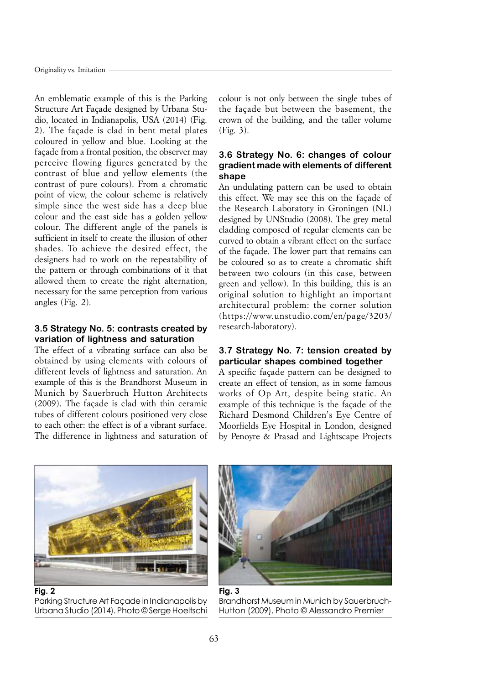*An emblematic example of this is the Parking Structure Art Façade designed by Urbana Studio, located in Indianapolis, USA (2014) (Fig. 2). The façade is clad in bent metal plates coloured in yellow and blue. Looking at the façade from a frontal position, the observer may perceive flowing figures generated by the contrast of blue and yellow elements (the contrast of pure colours). From a chromatic point of view, the colour scheme is relatively simple since the west side has a deep blue colour and the east side has a golden yellow colour. The different angle of the panels is sufficient in itself to create the illusion of other shades. To achieve the desired effect, the designers had to work on the repeatability of the pattern or through combinations of it that allowed them to create the right alternation, necessary for the same perception from various angles (Fig. 2).*

#### **3.5 Strategy No. 5: contrasts created by variation of lightness and saturation**

*The effect of a vibrating surface can also be obtained by using elements with colours of different levels of lightness and saturation. An example of this is the Brandhorst Museum in Munich by Sauerbruch Hutton Architects (2009). The façade is clad with thin ceramic tubes of different colours positioned very close to each other: the effect is of a vibrant surface. The difference in lightness and saturation of*

*colour is not only between the single tubes of the façade but between the basement, the crown of the building, and the taller volume (Fig. 3).*

## **3.6 Strategy No. 6: changes of colour gradient made with elements of different shape**

*An undulating pattern can be used to obtain this effect. We may see this on the façade of the Research Laboratory in Groningen (NL) designed by UNStudio (2008). The grey metal cladding composed of regular elements can be curved to obtain a vibrant effect on the surface of the façade. The lower part that remains can be coloured so as to create a chromatic shift between two colours (in this case, between green and yellow). In this building, this is an original solution to highlight an important architectural problem: the corner solution (<https://www.unstudio.com/en/page/3203/> research-laboratory).*

#### **3.7 Strategy No. 7: tension created by particular shapes combined together**

*A specific façade pattern can be designed to create an effect of tension, as in some famous works of Op Art, despite being static. An example of this technique is the façade of the Richard Desmond Children's Eye Centre of Moorfields Eye Hospital in London, designed by Penoyre & Prasad and Lightscape Projects*



**Fig. 2** Parking Structure Art Façade in Indianapolis by Urbana Studio (2014). Photo © Serge Hoeltschi



Brandhorst Museum in Munich by Sauerbruch-Hutton (2009). Photo © Alessandro Premier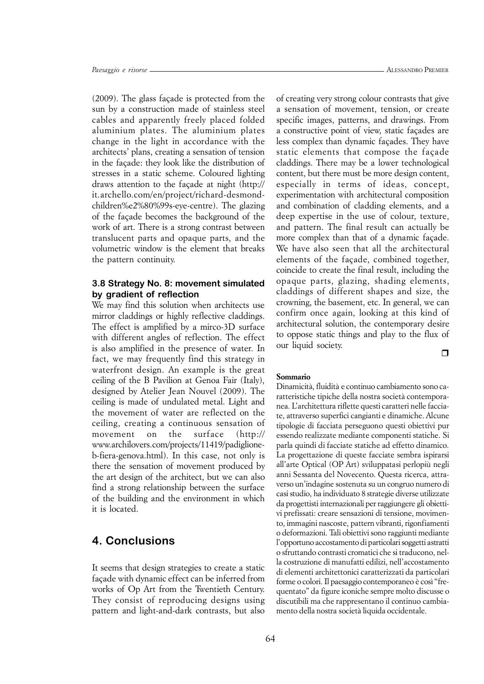*(2009). The glass façade is protected from the sun by a construction made of stainless steel cables and apparently freely placed folded aluminium plates. The aluminium plates change in the light in accordance with the architects' plans, creating a sensation of tension in the façade: they look like the distribution of stresses in a static scheme. Coloured lighting draws attention to the façade at night (http:// it.archello.com/en/project/richard-desmondchildren%e2%80%99s-eye-centre). The glazing of the façade becomes the background of the work of art. There is a strong contrast between translucent parts and opaque parts, and the volumetric window is the element that breaks the pattern continuity.*

#### **3.8 Strategy No. 8: movement simulated by gradient of reflection**

*We may find this solution when architects use mirror claddings or highly reflective claddings. The effect is amplified by a mirco-3D surface with different angles of reflection. The effect is also amplified in the presence of water. In fact, we may frequently find this strategy in waterfront design. An example is the great ceiling of the B Pavilion at Genoa Fair (Italy), designed by Atelier Jean Nouvel (2009). The ceiling is made of undulated metal. Light and the movement of water are reflected on the ceiling, creating a continuous sensation of movement on the surface (http:// [www.archilovers.com/projects/11419/padiglione](http://www.archilovers.com/projects/11419/padiglione-)b-fiera-genova.html). In this case, not only is there the sensation of movement produced by the art design of the architect, but we can also find a strong relationship between the surface of the building and the environment in which it is located.*

# **4. Conclusions**

*It seems that design strategies to create a static façade with dynamic effect can be inferred from works of Op Art from the Twentieth Century. They consist of reproducing designs using pattern and light-and-dark contrasts, but also* *ALESSANDRO PREMIER*

*of creating very strong colour contrasts that give a sensation of movement, tension, or create specific images, patterns, and drawings. From a constructive point of view, static façades are less complex than dynamic façades. They have static elements that compose the façade claddings. There may be a lower technological content, but there must be more design content, especially in terms of ideas, concept, experimentation with architectural composition and combination of cladding elements, and a deep expertise in the use of colour, texture, and pattern. The final result can actually be more complex than that of a dynamic façade. We have also seen that all the architectural elements of the façade, combined together, coincide to create the final result, including the opaque parts, glazing, shading elements, claddings of different shapes and size, the crowning, the basement, etc. In general, we can confirm once again, looking at this kind of architectural solution, the contemporary desire to oppose static things and play to the flux of our liquid society.*

 $\Box$ 

#### *Sommario*

*Dinamicità, fluidità e continuo cambiamento sono caratteristiche tipiche della nostra società contemporanea. L'architettura riflette questi caratteri nelle facciate, attraverso superfici cangianti e dinamiche. Alcune tipologie di facciata perseguono questi obiettivi pur essendo realizzate mediante componenti statiche. Si parla quindi di facciate statiche ad effetto dinamico. La progettazione di queste facciate sembra ispirarsi all'arte Optical (OP Art) sviluppatasi perlopiù negli anni Sessanta del Novecento. Questa ricerca, attraverso un'indagine sostenuta su un congruo numero di casi studio, ha individuato 8 strategie diverse utilizzate da progettisti internazionali per raggiungere gli obiettivi prefissati: creare sensazioni di tensione, movimento, immagini nascoste, pattern vibranti, rigonfiamenti o deformazioni. Tali obiettivi sono raggiunti mediante l'opportuno accostamento di particolari soggetti astratti o sfruttando contrasti cromatici che si traducono, nella costruzione di manufatti edilizi, nell'accostamento di elementi architettonici caratterizzati da particolari forme o colori. Il paesaggio contemporaneo è così "frequentato" da figure iconiche sempre molto discusse o discutibili ma che rappresentano il continuo cambiamento della nostra società liquida occidentale.*